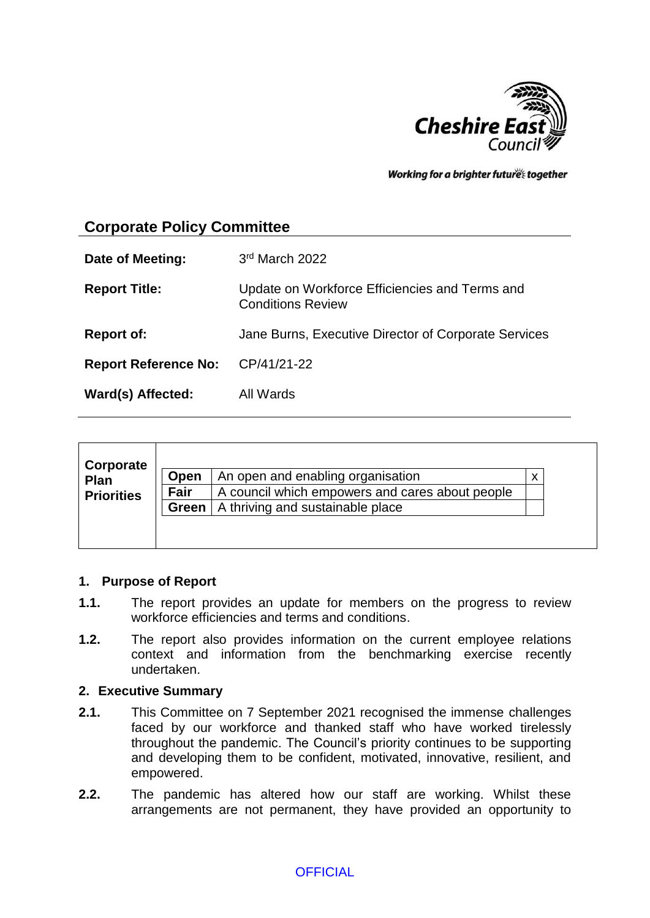

Working for a brighter futures together

# **Corporate Policy Committee**

| Date of Meeting:            | 3rd March 2022                                                             |
|-----------------------------|----------------------------------------------------------------------------|
| <b>Report Title:</b>        | Update on Workforce Efficiencies and Terms and<br><b>Conditions Review</b> |
| <b>Report of:</b>           | Jane Burns, Executive Director of Corporate Services                       |
| <b>Report Reference No:</b> | CP/41/21-22                                                                |
| Ward(s) Affected:           | All Wards                                                                  |

| Corporate         |       |                                                 |  |
|-------------------|-------|-------------------------------------------------|--|
| Plan              | Open  | An open and enabling organisation               |  |
| <b>Priorities</b> | Fair  | A council which empowers and cares about people |  |
|                   | Green | A thriving and sustainable place                |  |
|                   |       |                                                 |  |
|                   |       |                                                 |  |

#### **1. Purpose of Report**

- **1.1.** The report provides an update for members on the progress to review workforce efficiencies and terms and conditions.
- **1.2.** The report also provides information on the current employee relations context and information from the benchmarking exercise recently undertaken.

#### **2. Executive Summary**

- **2.1.** This Committee on 7 September 2021 recognised the immense challenges faced by our workforce and thanked staff who have worked tirelessly throughout the pandemic. The Council's priority continues to be supporting and developing them to be confident, motivated, innovative, resilient, and empowered.
- **2.2.** The pandemic has altered how our staff are working. Whilst these arrangements are not permanent, they have provided an opportunity to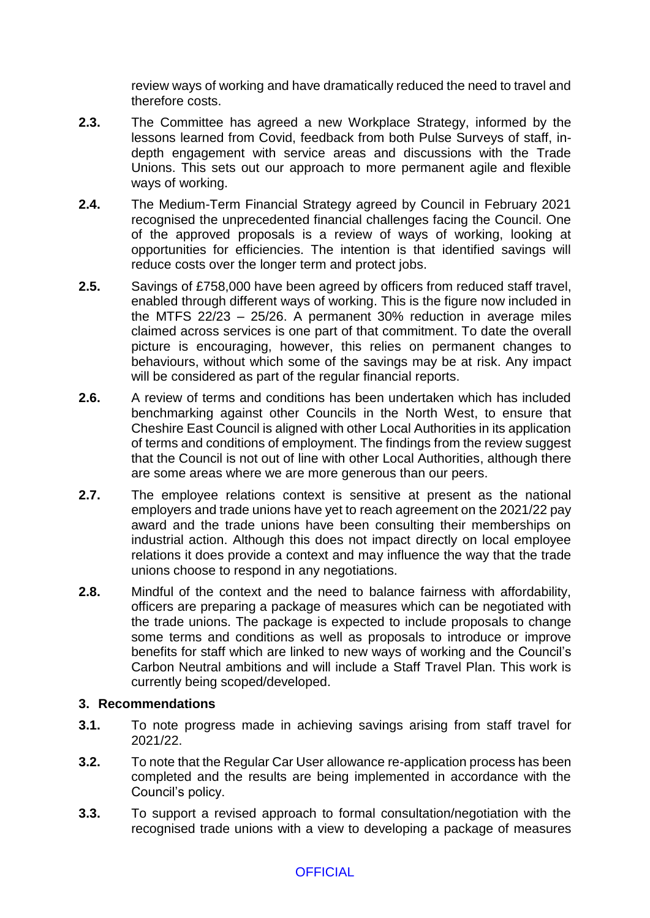review ways of working and have dramatically reduced the need to travel and therefore costs.

- **2.3.** The Committee has agreed a new Workplace Strategy, informed by the lessons learned from Covid, feedback from both Pulse Surveys of staff, indepth engagement with service areas and discussions with the Trade Unions. This sets out our approach to more permanent agile and flexible ways of working.
- **2.4.** The Medium-Term Financial Strategy agreed by Council in February 2021 recognised the unprecedented financial challenges facing the Council. One of the approved proposals is a review of ways of working, looking at opportunities for efficiencies. The intention is that identified savings will reduce costs over the longer term and protect jobs.
- **2.5.** Savings of £758,000 have been agreed by officers from reduced staff travel, enabled through different ways of working. This is the figure now included in the MTFS 22/23 – 25/26. A permanent 30% reduction in average miles claimed across services is one part of that commitment. To date the overall picture is encouraging, however, this relies on permanent changes to behaviours, without which some of the savings may be at risk. Any impact will be considered as part of the regular financial reports.
- **2.6.** A review of terms and conditions has been undertaken which has included benchmarking against other Councils in the North West, to ensure that Cheshire East Council is aligned with other Local Authorities in its application of terms and conditions of employment. The findings from the review suggest that the Council is not out of line with other Local Authorities, although there are some areas where we are more generous than our peers.
- **2.7.** The employee relations context is sensitive at present as the national employers and trade unions have yet to reach agreement on the 2021/22 pay award and the trade unions have been consulting their memberships on industrial action. Although this does not impact directly on local employee relations it does provide a context and may influence the way that the trade unions choose to respond in any negotiations.
- **2.8.** Mindful of the context and the need to balance fairness with affordability, officers are preparing a package of measures which can be negotiated with the trade unions. The package is expected to include proposals to change some terms and conditions as well as proposals to introduce or improve benefits for staff which are linked to new ways of working and the Council's Carbon Neutral ambitions and will include a Staff Travel Plan. This work is currently being scoped/developed.

#### **3. Recommendations**

- **3.1.** To note progress made in achieving savings arising from staff travel for 2021/22.
- **3.2.** To note that the Regular Car User allowance re-application process has been completed and the results are being implemented in accordance with the Council's policy.
- **3.3.** To support a revised approach to formal consultation/negotiation with the recognised trade unions with a view to developing a package of measures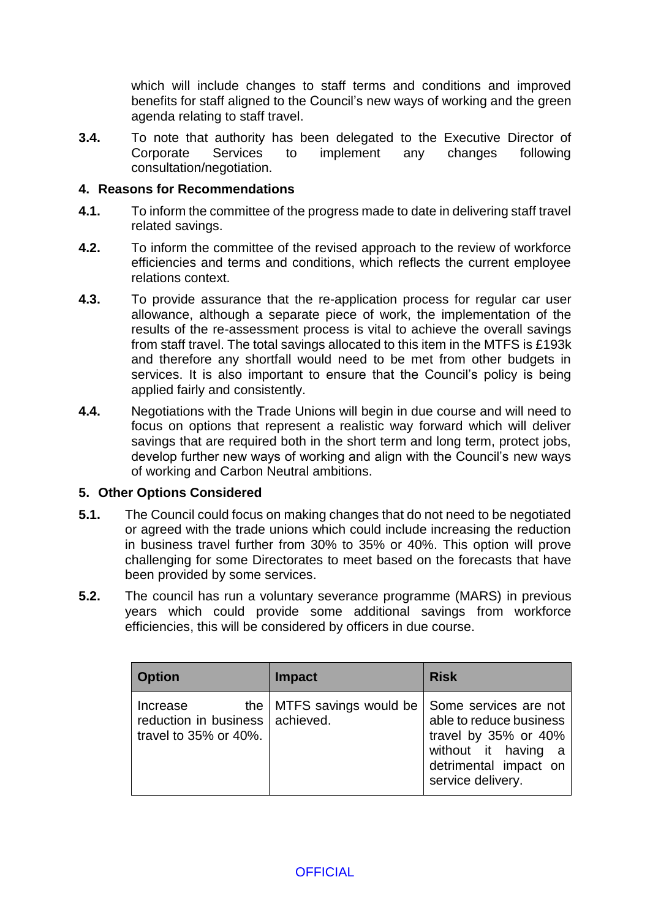which will include changes to staff terms and conditions and improved benefits for staff aligned to the Council's new ways of working and the green agenda relating to staff travel.

**3.4.** To note that authority has been delegated to the Executive Director of Corporate Services to implement any changes following consultation/negotiation.

#### **4. Reasons for Recommendations**

- **4.1.** To inform the committee of the progress made to date in delivering staff travel related savings.
- **4.2.** To inform the committee of the revised approach to the review of workforce efficiencies and terms and conditions, which reflects the current employee relations context.
- **4.3.** To provide assurance that the re-application process for regular car user allowance, although a separate piece of work, the implementation of the results of the re-assessment process is vital to achieve the overall savings from staff travel. The total savings allocated to this item in the MTFS is £193k and therefore any shortfall would need to be met from other budgets in services. It is also important to ensure that the Council's policy is being applied fairly and consistently.
- **4.4.** Negotiations with the Trade Unions will begin in due course and will need to focus on options that represent a realistic way forward which will deliver savings that are required both in the short term and long term, protect jobs, develop further new ways of working and align with the Council's new ways of working and Carbon Neutral ambitions.

#### **5. Other Options Considered**

- **5.1.** The Council could focus on making changes that do not need to be negotiated or agreed with the trade unions which could include increasing the reduction in business travel further from 30% to 35% or 40%. This option will prove challenging for some Directorates to meet based on the forecasts that have been provided by some services.
- **5.2.** The council has run a voluntary severance programme (MARS) in previous years which could provide some additional savings from workforce efficiencies, this will be considered by officers in due course.

| <b>Option</b>                                                               | <b>Impact</b>                                       | <b>Risk</b>                                                                                                               |
|-----------------------------------------------------------------------------|-----------------------------------------------------|---------------------------------------------------------------------------------------------------------------------------|
| Increase<br>reduction in business achieved.<br>travel to $35\%$ or $40\%$ . | the   MTFS savings would be   Some services are not | able to reduce business<br>travel by 35% or 40%<br>without it having<br>- a<br>detrimental impact on<br>service delivery. |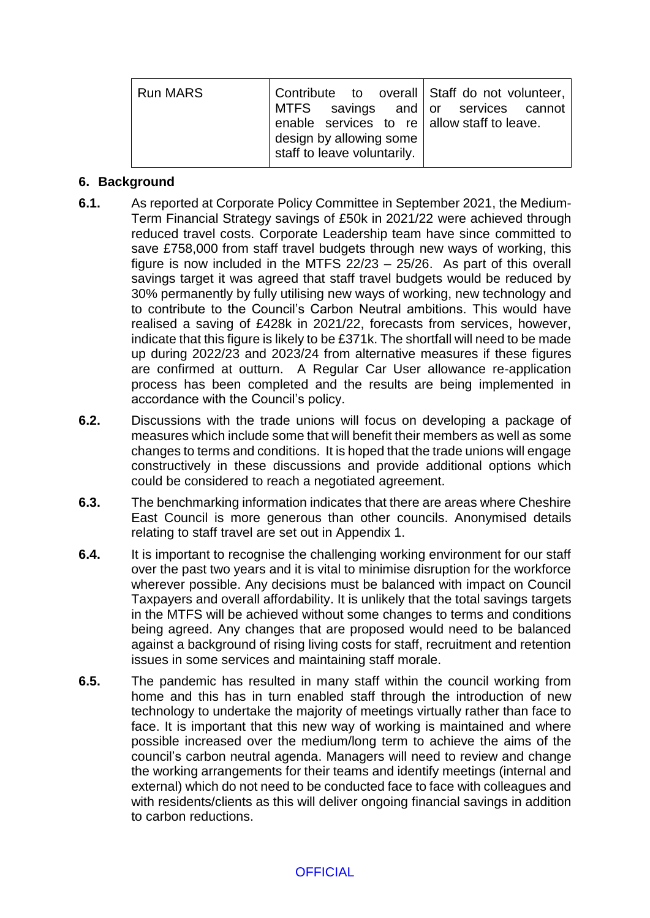| <b>Run MARS</b> | Contribute  to  overall   Staff do not volunteer,<br>MTFS savings and or services cannot<br>enable services to re $ $ allow staff to leave.<br>design by allowing some<br>staff to leave voluntarily. |
|-----------------|-------------------------------------------------------------------------------------------------------------------------------------------------------------------------------------------------------|
|                 |                                                                                                                                                                                                       |

### **6. Background**

- **6.1.** As reported at Corporate Policy Committee in September 2021, the Medium-Term Financial Strategy savings of £50k in 2021/22 were achieved through reduced travel costs. Corporate Leadership team have since committed to save £758,000 from staff travel budgets through new ways of working, this figure is now included in the MTFS 22/23 – 25/26. As part of this overall savings target it was agreed that staff travel budgets would be reduced by 30% permanently by fully utilising new ways of working, new technology and to contribute to the Council's Carbon Neutral ambitions. This would have realised a saving of £428k in 2021/22, forecasts from services, however, indicate that this figure is likely to be £371k. The shortfall will need to be made up during 2022/23 and 2023/24 from alternative measures if these figures are confirmed at outturn. A Regular Car User allowance re-application process has been completed and the results are being implemented in accordance with the Council's policy.
- **6.2.** Discussions with the trade unions will focus on developing a package of measures which include some that will benefit their members as well as some changes to terms and conditions. It is hoped that the trade unions will engage constructively in these discussions and provide additional options which could be considered to reach a negotiated agreement.
- **6.3.** The benchmarking information indicates that there are areas where Cheshire East Council is more generous than other councils. Anonymised details relating to staff travel are set out in Appendix 1.
- **6.4.** It is important to recognise the challenging working environment for our staff over the past two years and it is vital to minimise disruption for the workforce wherever possible. Any decisions must be balanced with impact on Council Taxpayers and overall affordability. It is unlikely that the total savings targets in the MTFS will be achieved without some changes to terms and conditions being agreed. Any changes that are proposed would need to be balanced against a background of rising living costs for staff, recruitment and retention issues in some services and maintaining staff morale.
- **6.5.** The pandemic has resulted in many staff within the council working from home and this has in turn enabled staff through the introduction of new technology to undertake the majority of meetings virtually rather than face to face. It is important that this new way of working is maintained and where possible increased over the medium/long term to achieve the aims of the council's carbon neutral agenda. Managers will need to review and change the working arrangements for their teams and identify meetings (internal and external) which do not need to be conducted face to face with colleagues and with residents/clients as this will deliver ongoing financial savings in addition to carbon reductions.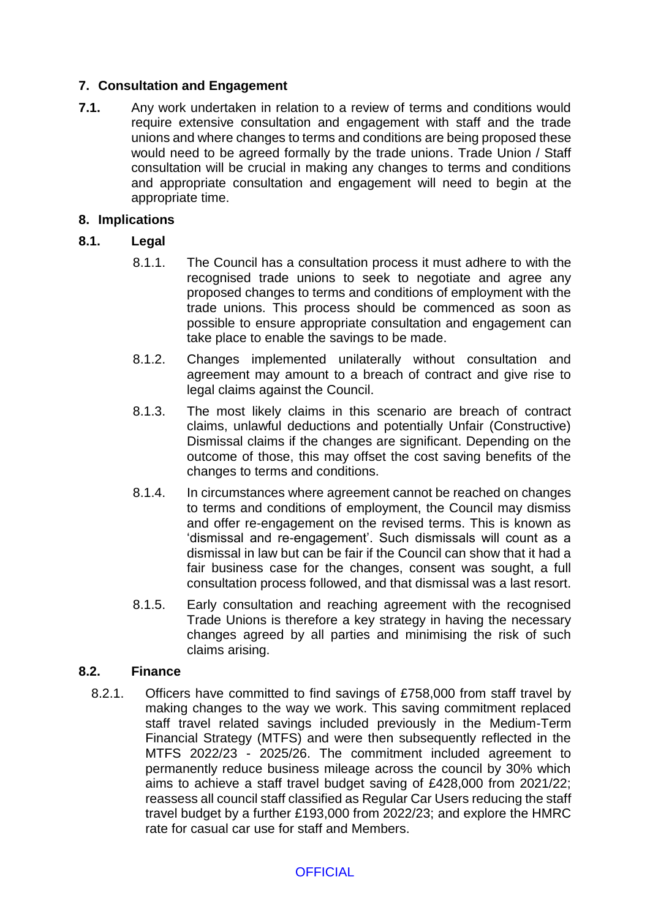# **7. Consultation and Engagement**

**7.1.** Any work undertaken in relation to a review of terms and conditions would require extensive consultation and engagement with staff and the trade unions and where changes to terms and conditions are being proposed these would need to be agreed formally by the trade unions. Trade Union / Staff consultation will be crucial in making any changes to terms and conditions and appropriate consultation and engagement will need to begin at the appropriate time.

#### **8. Implications**

### **8.1. Legal**

- 8.1.1. The Council has a consultation process it must adhere to with the recognised trade unions to seek to negotiate and agree any proposed changes to terms and conditions of employment with the trade unions. This process should be commenced as soon as possible to ensure appropriate consultation and engagement can take place to enable the savings to be made.
- 8.1.2. Changes implemented unilaterally without consultation and agreement may amount to a breach of contract and give rise to legal claims against the Council.
- 8.1.3. The most likely claims in this scenario are breach of contract claims, unlawful deductions and potentially Unfair (Constructive) Dismissal claims if the changes are significant. Depending on the outcome of those, this may offset the cost saving benefits of the changes to terms and conditions.
- 8.1.4. In circumstances where agreement cannot be reached on changes to terms and conditions of employment, the Council may dismiss and offer re-engagement on the revised terms. This is known as 'dismissal and re-engagement'. Such dismissals will count as a dismissal in law but can be fair if the Council can show that it had a fair business case for the changes, consent was sought, a full consultation process followed, and that dismissal was a last resort.
- 8.1.5. Early consultation and reaching agreement with the recognised Trade Unions is therefore a key strategy in having the necessary changes agreed by all parties and minimising the risk of such claims arising.

#### **8.2. Finance**

8.2.1. Officers have committed to find savings of £758,000 from staff travel by making changes to the way we work. This saving commitment replaced staff travel related savings included previously in the Medium-Term Financial Strategy (MTFS) and were then subsequently reflected in the MTFS 2022/23 - 2025/26. The commitment included agreement to permanently reduce business mileage across the council by 30% which aims to achieve a staff travel budget saving of £428,000 from 2021/22; reassess all council staff classified as Regular Car Users reducing the staff travel budget by a further £193,000 from 2022/23; and explore the HMRC rate for casual car use for staff and Members.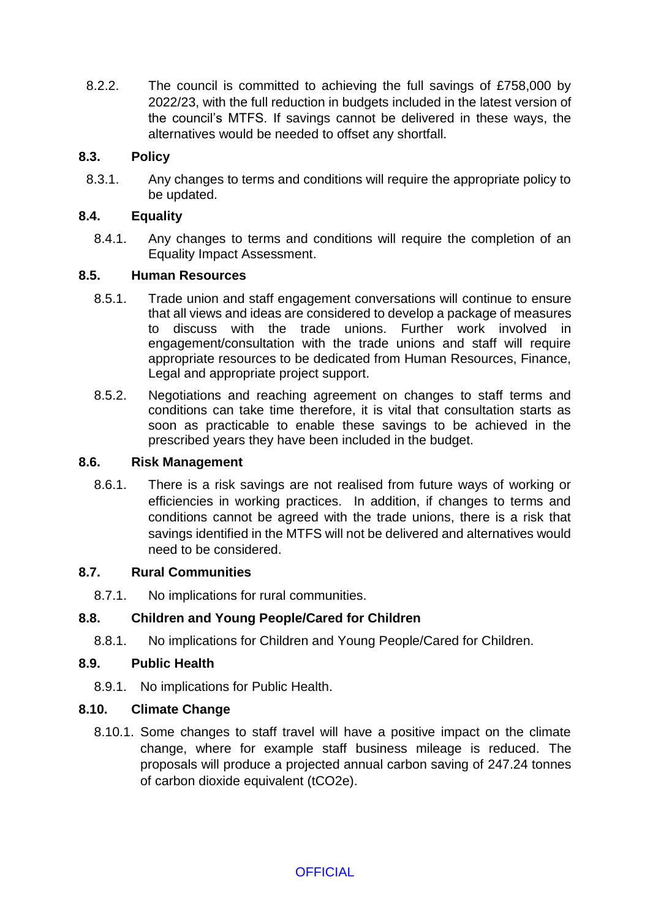8.2.2. The council is committed to achieving the full savings of £758,000 by 2022/23, with the full reduction in budgets included in the latest version of the council's MTFS. If savings cannot be delivered in these ways, the alternatives would be needed to offset any shortfall.

# **8.3. Policy**

8.3.1. Any changes to terms and conditions will require the appropriate policy to be updated.

### **8.4. Equality**

8.4.1. Any changes to terms and conditions will require the completion of an Equality Impact Assessment.

### **8.5. Human Resources**

- 8.5.1. Trade union and staff engagement conversations will continue to ensure that all views and ideas are considered to develop a package of measures to discuss with the trade unions. Further work involved in engagement/consultation with the trade unions and staff will require appropriate resources to be dedicated from Human Resources, Finance, Legal and appropriate project support.
- 8.5.2. Negotiations and reaching agreement on changes to staff terms and conditions can take time therefore, it is vital that consultation starts as soon as practicable to enable these savings to be achieved in the prescribed years they have been included in the budget.

### **8.6. Risk Management**

8.6.1. There is a risk savings are not realised from future ways of working or efficiencies in working practices. In addition, if changes to terms and conditions cannot be agreed with the trade unions, there is a risk that savings identified in the MTFS will not be delivered and alternatives would need to be considered.

#### **8.7. Rural Communities**

8.7.1. No implications for rural communities.

# **8.8. Children and Young People/Cared for Children**

8.8.1. No implications for Children and Young People/Cared for Children.

#### **8.9. Public Health**

8.9.1. No implications for Public Health.

#### **8.10. Climate Change**

8.10.1. Some changes to staff travel will have a positive impact on the climate change, where for example staff business mileage is reduced. The proposals will produce a projected annual carbon saving of 247.24 tonnes of carbon dioxide equivalent (tCO2e).